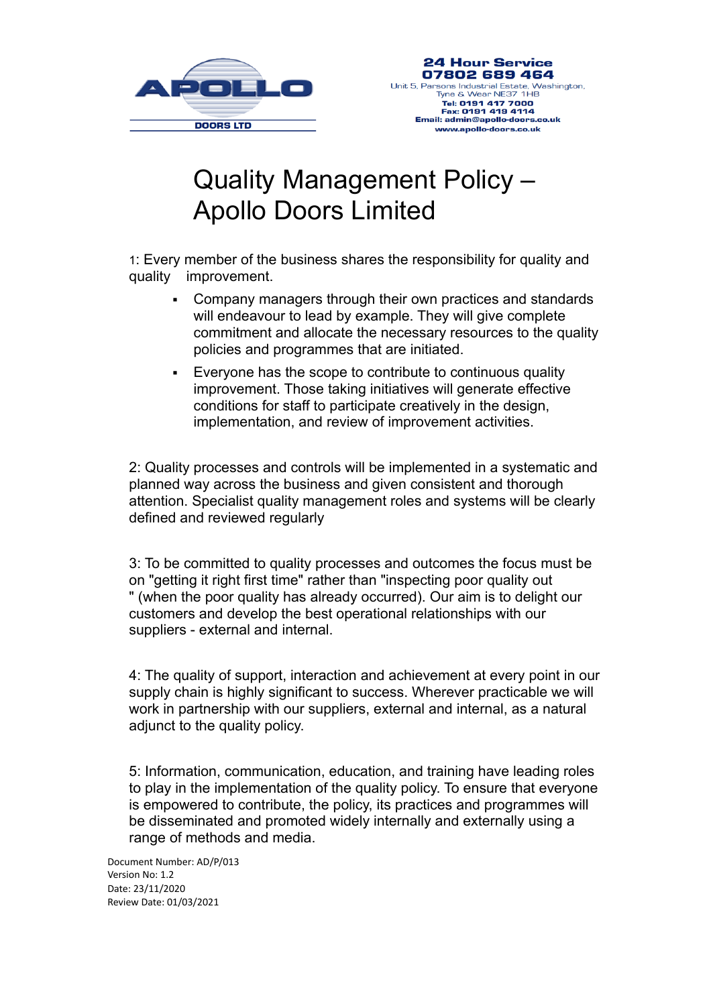

## Quality Management Policy – Apollo Doors Limited

1: Every member of the business shares the responsibility for quality and quality improvement.

- Company managers through their own practices and standards will endeavour to lead by example. They will give complete commitment and allocate the necessary resources to the quality policies and programmes that are initiated.
- Everyone has the scope to contribute to continuous quality improvement. Those taking initiatives will generate effective conditions for staff to participate creatively in the design, implementation, and review of improvement activities.

2: Quality processes and controls will be implemented in a systematic and planned way across the business and given consistent and thorough attention. Specialist quality management roles and systems will be clearly defined and reviewed regularly

3: To be committed to quality processes and outcomes the focus must be on "getting it right first time" rather than "inspecting poor quality out " (when the poor quality has already occurred). Our aim is to delight our customers and develop the best operational relationships with our suppliers - external and internal.

4: The quality of support, interaction and achievement at every point in our supply chain is highly significant to success. Wherever practicable we will work in partnership with our suppliers, external and internal, as a natural adjunct to the quality policy.

5: Information, communication, education, and training have leading roles to play in the implementation of the quality policy. To ensure that everyone is empowered to contribute, the policy, its practices and programmes will be disseminated and promoted widely internally and externally using a range of methods and media.

Document Number: AD/P/013 Version No: 1.2 Date: 23/11/2020 Review Date: 01/03/2021